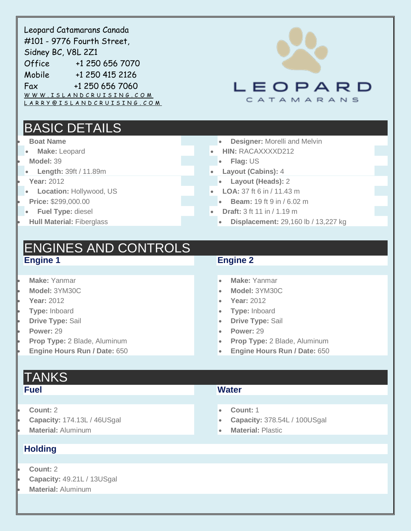| Leopard Catamarans Canada<br>#101 - 9776 Fourth Street,<br>Sidney BC, V8L 2Z1<br>Office<br>+1 250 656 7070<br>Mobile +1 250 415 2126<br>Fax +1 250 656 7060<br>WWW.ISLANDCRUISING.COM<br>LARRY@ISLANDCRUISING.COM | LEOPARD<br>CATAMARANS                                                                                                                                                                                                        |
|-------------------------------------------------------------------------------------------------------------------------------------------------------------------------------------------------------------------|------------------------------------------------------------------------------------------------------------------------------------------------------------------------------------------------------------------------------|
| <b>BASIC DETAILS</b><br><b>Boat Name</b><br>Make: Leopard<br>Model: 39<br>Length: 39ft / 11.89m<br><b>Year: 2012</b><br>Location: Hollywood, US<br>Price: \$299,000.00<br>Fuel Type: diesel                       | <b>Designer: Morelli and Melvin</b><br><b>HIN: RACAXXXXD212</b><br>Flag: US<br>Layout (Cabins): 4<br>Layout (Heads): 2<br>LOA: 37 ft 6 in / 11.43 m<br><b>Beam:</b> 19 ft 9 in / 6.02 m<br><b>Draft:</b> 3 ft 11 in / 1.19 m |
| <b>Hull Material: Fiberglass</b><br><b>ENGINES AND CONTROLS</b><br><b>Engine 1</b><br>Make: Yanmar<br>Model: 3YM30C<br><b>Year: 2012</b><br>Type: Inboard<br><b>Drive Type: Sail</b>                              | Displacement: 29,160 lb / 13,227 kg<br><b>Engine 2</b><br>Make: Yanmar<br>$\bullet$<br>Model: 3YM30C<br><b>Year: 2012</b><br>Type: Inboard<br><b>Drive Type: Sail</b>                                                        |
| Power: 29<br>Prop Type: 2 Blade, Aluminum<br>Engine Hours Run / Date: 650<br><b>TANKS</b><br><b>Fuel</b>                                                                                                          | Power: 29<br>Prop Type: 2 Blade, Aluminum<br>Engine Hours Run / Date: 650<br>$\bullet$<br><b>Water</b>                                                                                                                       |
| Count: 2<br>Capacity: 174.13L / 46USgal<br><b>Material: Aluminum</b><br><b>Holding</b><br>Count: 2<br>Capacity: 49.21L / 13USgal                                                                                  | Count: 1<br>$\bullet$<br>Capacity: 378.54L / 100USgal<br><b>Material: Plastic</b><br>$\bullet$                                                                                                                               |

**Material:** Aluminum